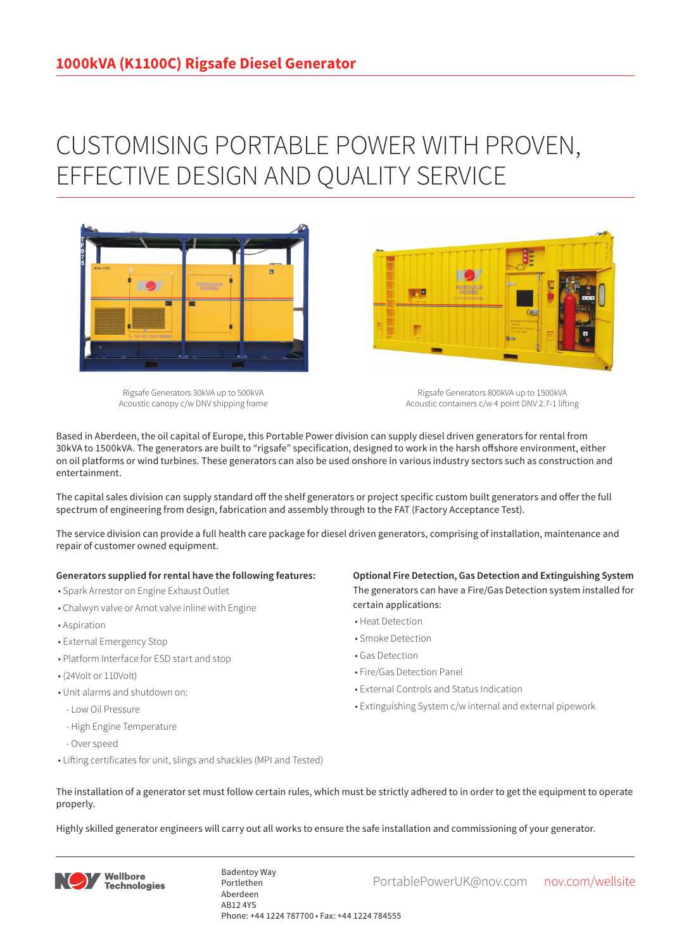## CUSTOMISING PORTABLE POWER WITH PROVEN, EFFECTIVE DESIGN AND QUALITY SERVICE



Rigsafe Generators 30kVA up to 500kVA Acoustic canopy c/w DNV shipping frame

Rigsafe Generators 800kVA up to 1500kVA Acoustic containers c/w 4 point DNV 2.7-1 lifting

Based in Aberdeen, the oil capital of Europe, this Portable Power division can supply diesel driven generators for rental from 30kVA to 1500kVA. The generators are built to "rigsafe" specification, designed to work in the harsh offshore environment, either on oil platforms or wind turbines. These generators can also be used onshore in various industry sectors such as construction and entertainment.

The capital sales division can supply standard off the shelf generators or project specific custom built generators and offer the full spectrum of engineering from design, fabrication and assembly through to the FAT (Factory Acceptance Test).

The service division can provide a full health care package for diesel driven generators, comprising of installation, maintenance and repair of customer owned equipment.

## **Generators supplied for rental have the following features:**

- Spark Arrestor on Engine Exhaust Outlet
- Chalwyn valve or Amot valve inline with Engine
- Aspiration
- External Emergency Stop
- Platform Interface for ESD start and stop
- (24Volt or 110Volt)
- Unit alarms and shutdown on:
- Low Oil Pressure
- High Engine Temperature
- Over speed
- Lifting certificates for unit, slings and shackles (MPI and Tested)

**Optional Fire Detection, Gas Detection and Extinguishing System** The generators can have a Fire/Gas Detection system installed for certain applications:

- Heat Detection
- Smoke Detection
- Gas Detection
- Fire/Gas Detection Panel

**Designation** 

- External Controls and Status Indication
- Extinguishing System c/w internal and external pipework
- The installation of a generator set must follow certain rules, which must be strictly adhered to in order to get the equipment to operate properly.

Highly skilled generator engineers will carry out all works to ensure the safe installation and commissioning of your generator.



Badentoy Way<br>PortablePowerUK@nov.com nov.com/wellsite Portlethen Aberdeen AB12 4YS Phone: +44 1224 787700 • Fax: +44 1224 784555